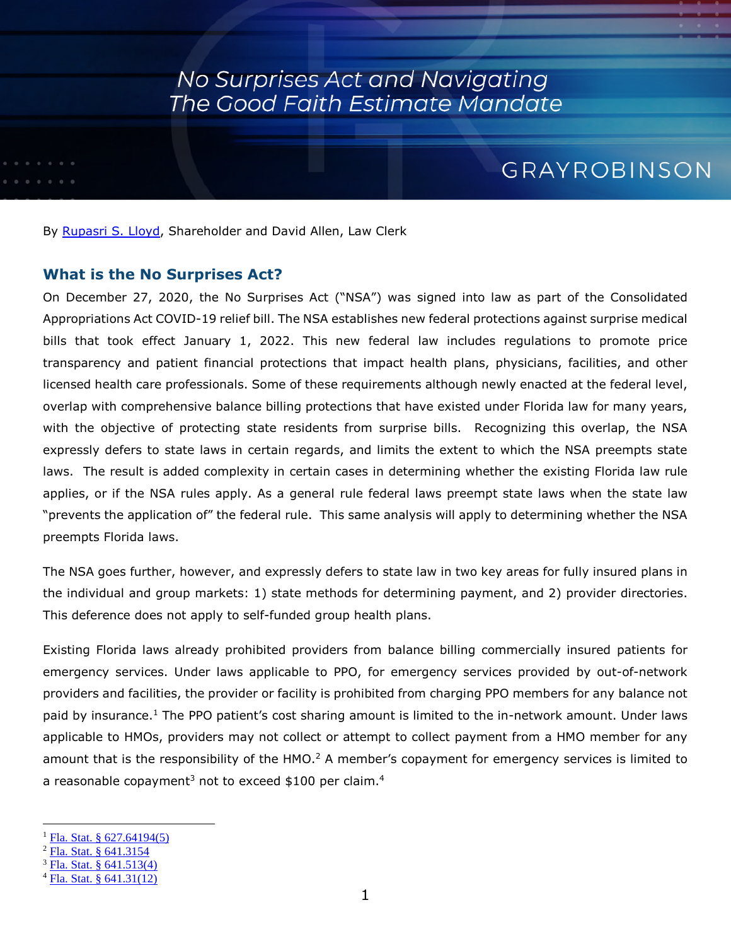### No Surprises Act and Navigating The Good Faith Estimate Mandate

### GRAYROBINSON

By [Rupasri S. Lloyd](https://www.gray-robinson.com/attorneys-professionals/rupasri-s-lloyd), Shareholder and David Allen, Law Clerk

#### **What is the No Surprises Act?**

On December 27, 2020, the No Surprises Act ("NSA") was signed into law as part of the Consolidated Appropriations Act COVID-19 relief bill. The NSA establishes new federal protections against surprise medical bills that took effect January 1, 2022. This new federal law includes regulations to promote price transparency and patient financial protections that impact health plans, physicians, facilities, and other licensed health care professionals. Some of these requirements although newly enacted at the federal level, overlap with comprehensive balance billing protections that have existed under Florida law for many years, with the objective of protecting state residents from surprise bills. Recognizing this overlap, the NSA expressly defers to state laws in certain regards, and limits the extent to which the NSA preempts state laws. The result is added complexity in certain cases in determining whether the existing Florida law rule applies, or if the NSA rules apply. As a general rule federal laws preempt state laws when the state law "prevents the application of" the federal rule. This same analysis will apply to determining whether the NSA preempts Florida laws.

The NSA goes further, however, and expressly defers to state law in two key areas for fully insured plans in the individual and group markets: 1) state methods for determining payment, and 2) provider directories. This deference does not apply to self-funded group health plans.

Existing Florida laws already prohibited providers from balance billing commercially insured patients for emergency services. Under laws applicable to PPO, for emergency services provided by out-of-network providers and facilities, the provider or facility is prohibited from charging PPO members for any balance not paid by insurance.<sup>[1](#page-0-0)</sup> The PPO patient's cost sharing amount is limited to the in-network amount. Under laws applicable to HMOs, providers may not collect or attempt to collect payment from a HMO member for any amountthat is the responsibility of the HMO.<sup>2</sup> A member's copayment for emergency services is limited to a reasonable copayment<sup>[3](#page-0-2)</sup> not to exceed \$100 per claim.<sup>[4](#page-0-3)</sup>

<span id="page-0-1"></span><span id="page-0-0"></span><sup>&</sup>lt;sup>1</sup> [Fla. Stat. § 627.64194\(5\)](http://www.leg.state.fl.us/statutes/index.cfm?App_mode=Display_Statute&Search_String=&URL=0600-0699/0627/Sections/0627.64194.html)

<span id="page-0-2"></span> $^{2}$  [Fla. Stat. § 641.3154](http://www.leg.state.fl.us/statutes/index.cfm?App_mode=Display_Statute&URL=0600-0699/0641/Sections/0641.3154.html)

<span id="page-0-3"></span><sup>3</sup> [Fla. Stat. § 641.513\(4\)](http://www.leg.state.fl.us/statutes/index.cfm?App_mode=Display_Statute&Search_String=&URL=0600-0699/0641/Sections/0641.513.html)

 $4$  [Fla. Stat. § 641.31\(12\)](http://www.leg.state.fl.us/statutes/index.cfm?App_mode=Display_Statute&Search_String=&URL=0600-0699/0641/Sections/0641.31.html)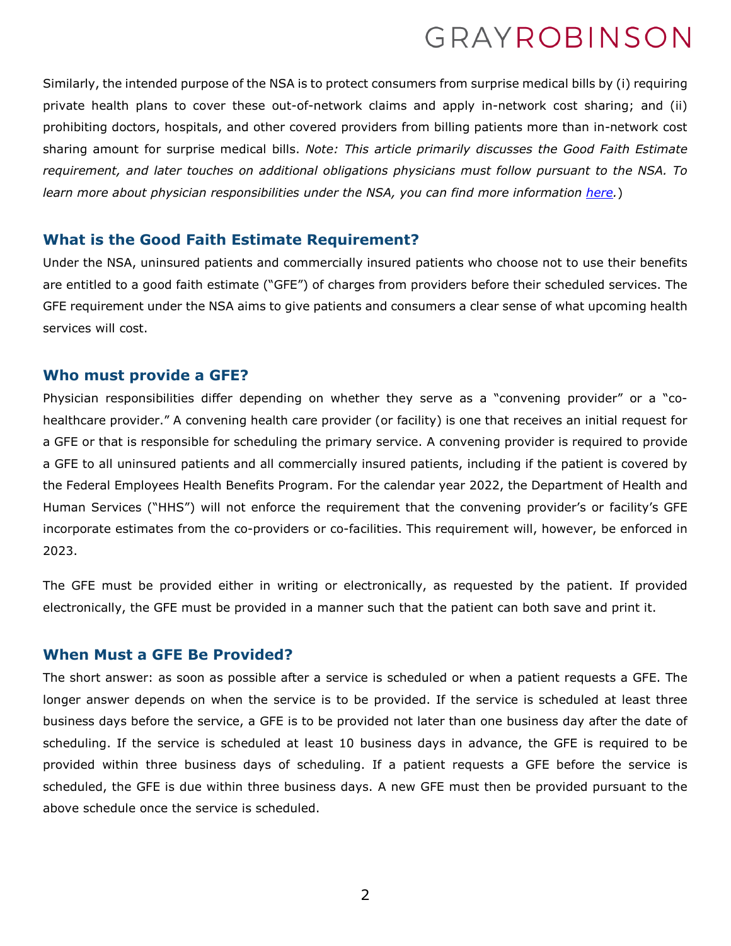Similarly, the intended purpose of the NSA is to protect consumers from surprise medical bills by (i) requiring private health plans to cover these out-of-network claims and apply in-network cost sharing; and (ii) prohibiting doctors, hospitals, and other covered providers from billing patients more than in-network cost sharing amount for surprise medical bills. *Note: This article primarily discusses the Good Faith Estimate requirement, and later touches on additional obligations physicians must follow pursuant to the NSA. To learn more about physician responsibilities under the NSA, you can find more information [here.](https://www.cms.gov/files/document/high-level-overview-provider-requirements.pdf)*)

#### **What is the Good Faith Estimate Requirement?**

Under the NSA, uninsured patients and commercially insured patients who choose not to use their benefits are entitled to a good faith estimate ("GFE") of charges from providers before their scheduled services. The GFE requirement under the NSA aims to give patients and consumers a clear sense of what upcoming health services will cost.

#### **Who must provide a GFE?**

Physician responsibilities differ depending on whether they serve as a "convening provider" or a "cohealthcare provider." A convening health care provider (or facility) is one that receives an initial request for a GFE or that is responsible for scheduling the primary service. A convening provider is required to provide a GFE to all uninsured patients and all commercially insured patients, including if the patient is covered by the Federal Employees Health Benefits Program. For the calendar year 2022, the Department of Health and Human Services ("HHS") will not enforce the requirement that the convening provider's or facility's GFE incorporate estimates from the co-providers or co-facilities. This requirement will, however, be enforced in 2023.

The GFE must be provided either in writing or electronically, as requested by the patient. If provided electronically, the GFE must be provided in a manner such that the patient can both save and print it.

### **When Must a GFE Be Provided?**

The short answer: as soon as possible after a service is scheduled or when a patient requests a GFE. The longer answer depends on when the service is to be provided. If the service is scheduled at least three business days before the service, a GFE is to be provided not later than one business day after the date of scheduling. If the service is scheduled at least 10 business days in advance, the GFE is required to be provided within three business days of scheduling. If a patient requests a GFE before the service is scheduled, the GFE is due within three business days. A new GFE must then be provided pursuant to the above schedule once the service is scheduled.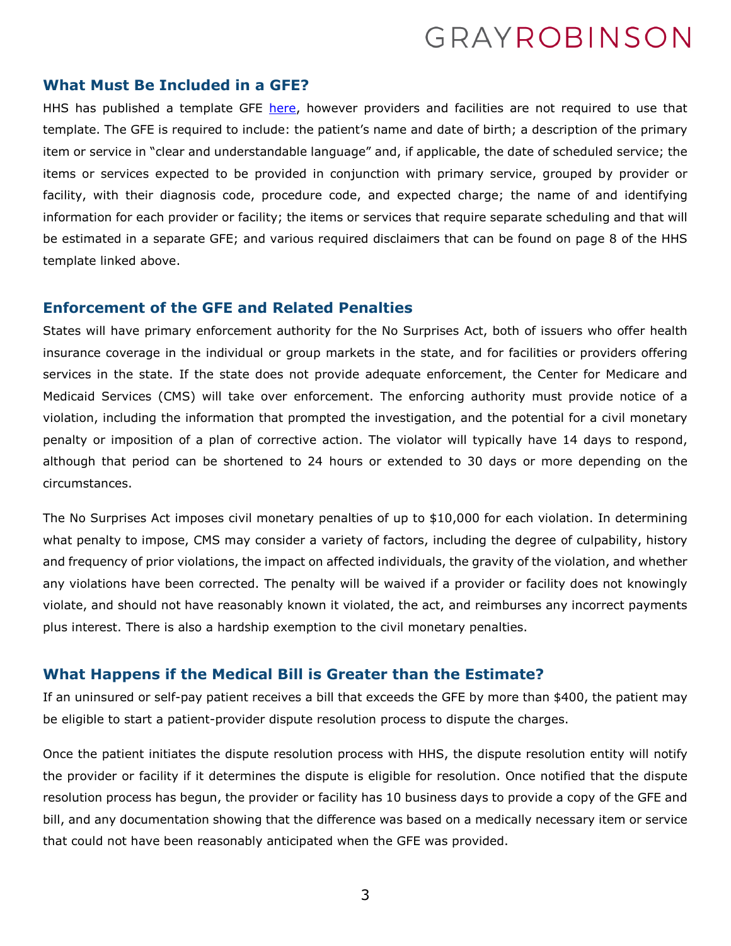#### **What Must Be Included in a GFE?**

HHS has published a template GFE [here](https://www.cms.gov/files/document/good-faith-estimate-example.pdf), however providers and facilities are not required to use that template. The GFE is required to include: the patient's name and date of birth; a description of the primary item or service in "clear and understandable language" and, if applicable, the date of scheduled service; the items or services expected to be provided in conjunction with primary service, grouped by provider or facility, with their diagnosis code, procedure code, and expected charge; the name of and identifying information for each provider or facility; the items or services that require separate scheduling and that will be estimated in a separate GFE; and various required disclaimers that can be found on page 8 of the HHS template linked above.

#### **Enforcement of the GFE and Related Penalties**

States will have primary enforcement authority for the No Surprises Act, both of issuers who offer health insurance coverage in the individual or group markets in the state, and for facilities or providers offering services in the state. If the state does not provide adequate enforcement, the Center for Medicare and Medicaid Services (CMS) will take over enforcement. The enforcing authority must provide notice of a violation, including the information that prompted the investigation, and the potential for a civil monetary penalty or imposition of a plan of corrective action. The violator will typically have 14 days to respond, although that period can be shortened to 24 hours or extended to 30 days or more depending on the circumstances.

The No Surprises Act imposes civil monetary penalties of up to \$10,000 for each violation. In determining what penalty to impose, CMS may consider a variety of factors, including the degree of culpability, history and frequency of prior violations, the impact on affected individuals, the gravity of the violation, and whether any violations have been corrected. The penalty will be waived if a provider or facility does not knowingly violate, and should not have reasonably known it violated, the act, and reimburses any incorrect payments plus interest. There is also a hardship exemption to the civil monetary penalties.

#### **What Happens if the Medical Bill is Greater than the Estimate?**

If an uninsured or self-pay patient receives a bill that exceeds the GFE by more than \$400, the patient may be eligible to start a patient-provider dispute resolution process to dispute the charges.

Once the patient initiates the dispute resolution process with HHS, the dispute resolution entity will notify the provider or facility if it determines the dispute is eligible for resolution. Once notified that the dispute resolution process has begun, the provider or facility has 10 business days to provide a copy of the GFE and bill, and any documentation showing that the difference was based on a medically necessary item or service that could not have been reasonably anticipated when the GFE was provided.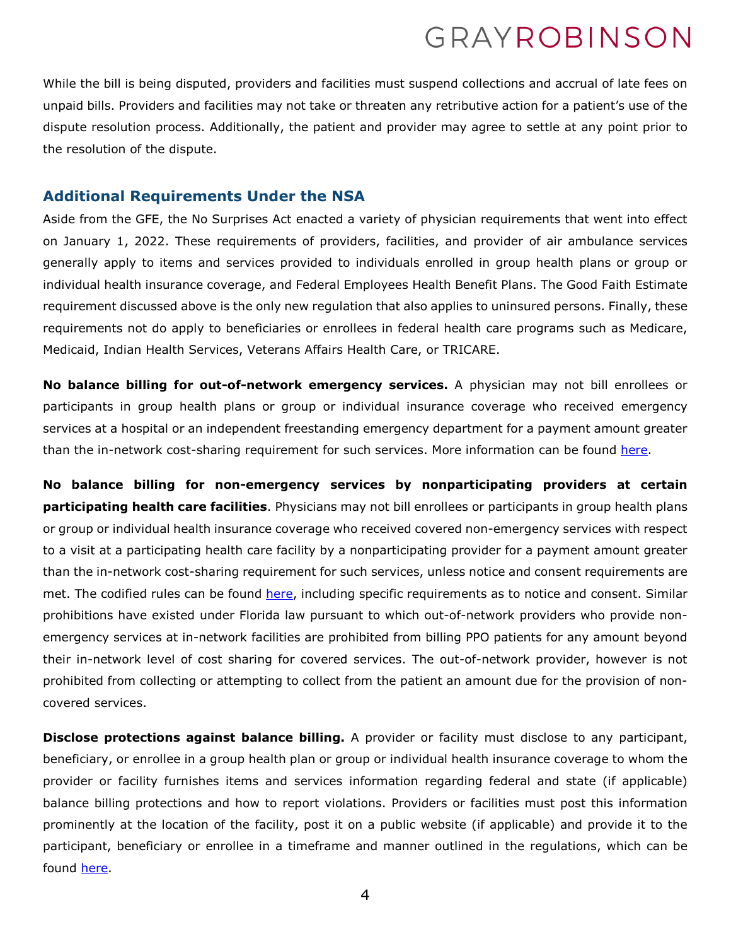While the bill is being disputed, providers and facilities must suspend collections and accrual of late fees on unpaid bills. Providers and facilities may not take or threaten any retributive action for a patient's use of the dispute resolution process. Additionally, the patient and provider may agree to settle at any point prior to the resolution of the dispute.

#### **Additional Requirements Under the NSA**

Aside from the GFE, the No Surprises Act enacted a variety of physician requirements that went into effect on January 1, 2022. These requirements of providers, facilities, and provider of air ambulance services generally apply to items and services provided to individuals enrolled in group health plans or group or individual health insurance coverage, and Federal Employees Health Benefit Plans. The Good Faith Estimate requirement discussed above is the only new regulation that also applies to uninsured persons. Finally, these requirements not do apply to beneficiaries or enrollees in federal health care programs such as Medicare, Medicaid, Indian Health Services, Veterans Affairs Health Care, or TRICARE.

**No balance billing for out-of-network emergency services.** A physician may not bill enrollees or participants in group health plans or group or individual insurance coverage who received emergency services at a hospital or an independent freestanding emergency department for a payment amount greater than the in-network cost-sharing requirement for such services. More information can be found [here.](https://www.ecfr.gov/current/title-45/subtitle-A/subchapter-B/part-149/subpart-E/section-149.410)

**No balance billing for non-emergency services by nonparticipating providers at certain participating health care facilities**. Physicians may not bill enrollees or participants in group health plans or group or individual health insurance coverage who received covered non-emergency services with respect to a visit at a participating health care facility by a nonparticipating provider for a payment amount greater than the in-network cost-sharing requirement for such services, unless notice and consent requirements are met. The codified rules can be found [here](https://www.ecfr.gov/current/title-45/subtitle-A/subchapter-B/part-149/subpart-E/section-149.420), including specific requirements as to notice and consent. Similar prohibitions have existed under Florida law pursuant to which out-of-network providers who provide nonemergency services at in-network facilities are prohibited from billing PPO patients for any amount beyond their in-network level of cost sharing for covered services. The out-of-network provider, however is not prohibited from collecting or attempting to collect from the patient an amount due for the provision of noncovered services.

**Disclose protections against balance billing.** A provider or facility must disclose to any participant, beneficiary, or enrollee in a group health plan or group or individual health insurance coverage to whom the provider or facility furnishes items and services information regarding federal and state (if applicable) balance billing protections and how to report violations. Providers or facilities must post this information prominently at the location of the facility, post it on a public website (if applicable) and provide it to the participant, beneficiary or enrollee in a timeframe and manner outlined in the regulations, which can be found [here](https://www.ecfr.gov/current/title-45/subtitle-A/subchapter-B/part-149/subpart-E/section-149.430).